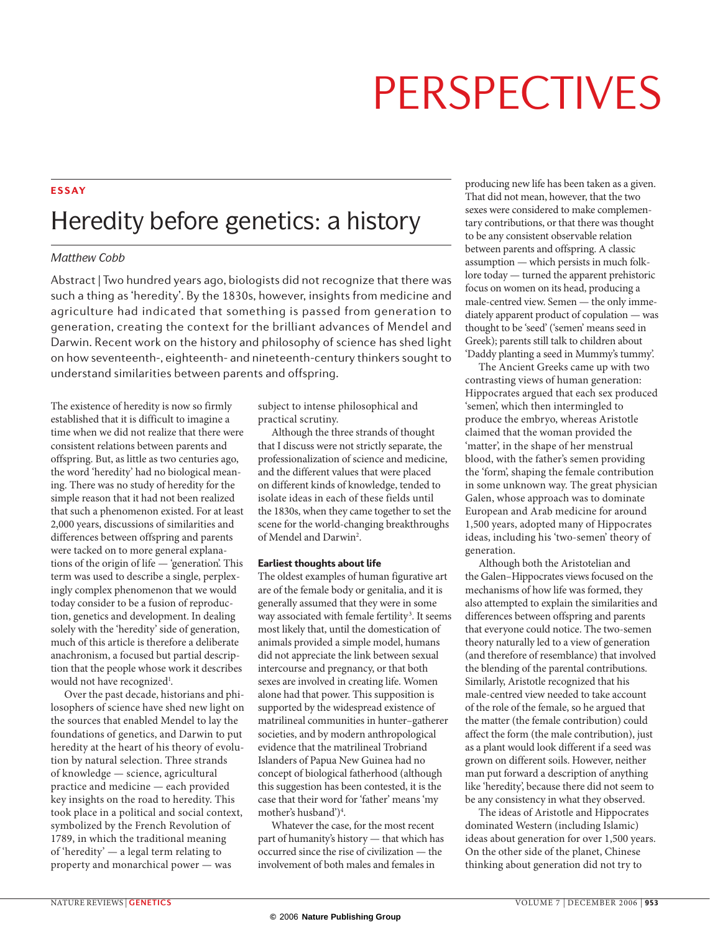#### ESSAY

## Heredity before genetics: a history

#### *Matthew Cobb*

Abstract | Two hundred years ago, biologists did not recognize that there was such a thing as 'heredity'. By the 1830s, however, insights from medicine and agriculture had indicated that something is passed from generation to generation, creating the context for the brilliant advances of Mendel and Darwin. Recent work on the history and philosophy of science has shed light on how seventeenth-, eighteenth- and nineteenth-century thinkers sought to understand similarities between parents and offspring.

The existence of heredity is now so firmly established that it is difficult to imagine a time when we did not realize that there were consistent relations between parents and offspring. But, as little as two centuries ago, the word 'heredity' had no biological meaning. There was no study of heredity for the simple reason that it had not been realized that such a phenomenon existed. For at least 2,000 years, discussions of similarities and differences between offspring and parents were tacked on to more general explanations of the origin of life — 'generation'. This term was used to describe a single, perplexingly complex phenomenon that we would today consider to be a fusion of reproduction, genetics and development. In dealing solely with the 'heredity' side of generation, much of this article is therefore a deliberate anachronism, a focused but partial description that the people whose work it describes would not have recognized<sup>1</sup>.

Over the past decade, historians and philosophers of science have shed new light on the sources that enabled Mendel to lay the foundations of genetics, and Darwin to put heredity at the heart of his theory of evolution by natural selection. Three strands of knowledge — science, agricultural practice and medicine — each provided key insights on the road to heredity. This took place in a political and social context, symbolized by the French Revolution of 1789, in which the traditional meaning of 'heredity' — a legal term relating to property and monarchical power — was

subject to intense philosophical and practical scrutiny.

Although the three strands of thought that I discuss were not strictly separate, the professionalization of science and medicine, and the different values that were placed on different kinds of knowledge, tended to isolate ideas in each of these fields until the 1830s, when they came together to set the scene for the world-changing breakthroughs of Mendel and Darwin<sup>2</sup>.

#### Earliest thoughts about life

The oldest examples of human figurative art are of the female body or genitalia, and it is generally assumed that they were in some way associated with female fertility<sup>3</sup>. It seems most likely that, until the domestication of animals provided a simple model, humans did not appreciate the link between sexual intercourse and pregnancy, or that both sexes are involved in creating life. Women alone had that power. This supposition is supported by the widespread existence of matrilineal communities in hunter–gatherer societies, and by modern anthropological evidence that the matrilineal Trobriand Islanders of Papua New Guinea had no concept of biological fatherhood (although this suggestion has been contested, it is the case that their word for 'father' means 'my mother's husband')<sup>4</sup>.

Whatever the case, for the most recent part of humanity's history — that which has occurred since the rise of civilization — the involvement of both males and females in

producing new life has been taken as a given. That did not mean, however, that the two sexes were considered to make complementary contributions, or that there was thought to be any consistent observable relation between parents and offspring. A classic assumption — which persists in much folklore today — turned the apparent prehistoric focus on women on its head, producing a male-centred view. Semen — the only immediately apparent product of copulation — was thought to be 'seed' ('semen' means seed in Greek); parents still talk to children about 'Daddy planting a seed in Mummy's tummy'.

The Ancient Greeks came up with two contrasting views of human generation: Hippocrates argued that each sex produced 'semen', which then intermingled to produce the embryo, whereas Aristotle claimed that the woman provided the 'matter', in the shape of her menstrual blood, with the father's semen providing the 'form', shaping the female contribution in some unknown way. The great physician Galen, whose approach was to dominate European and Arab medicine for around 1,500 years, adopted many of Hippocrates ideas, including his 'two-semen' theory of generation.

Although both the Aristotelian and the Galen–Hippocrates views focused on the mechanisms of how life was formed, they also attempted to explain the similarities and differences between offspring and parents that everyone could notice. The two-semen theory naturally led to a view of generation (and therefore of resemblance) that involved the blending of the parental contributions. Similarly, Aristotle recognized that his male-centred view needed to take account of the role of the female, so he argued that the matter (the female contribution) could affect the form (the male contribution), just as a plant would look different if a seed was grown on different soils. However, neither man put forward a description of anything like 'heredity', because there did not seem to be any consistency in what they observed.

The ideas of Aristotle and Hippocrates dominated Western (including Islamic) ideas about generation for over 1,500 years. On the other side of the planet, Chinese thinking about generation did not try to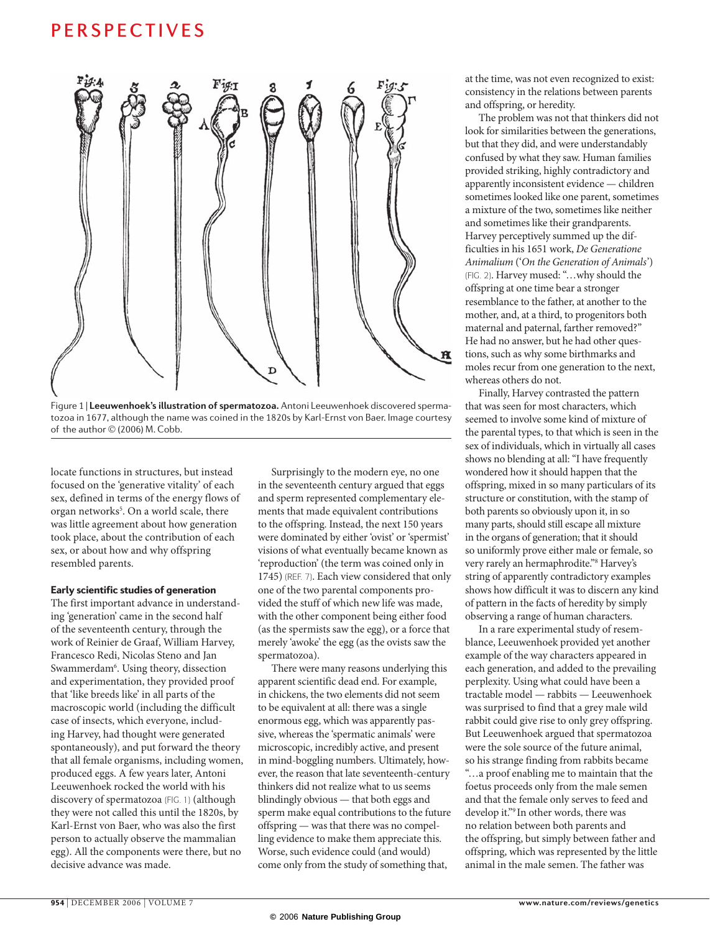

Figure 1 | **Leeuwenhoek's illustration of spermatozoa.** Antoni Leeuwenhoek discovered spermatozoa in 1677, although the name was coined in the 1820s by Karl-Ernst von Baer. Image courtesy of the author © (2006) M. Cobb.

locate functions in structures, but instead focused on the 'generative vitality' of each sex, defined in terms of the energy flows of organ networks<sup>5</sup>. On a world scale, there was little agreement about how generation took place, about the contribution of each sex, or about how and why offspring resembled parents.

#### Early scientific studies of generation

The first important advance in understanding 'generation' came in the second half of the seventeenth century, through the work of Reinier de Graaf, William Harvey, Francesco Redi, Nicolas Steno and Jan Swammerdam<sup>6</sup>. Using theory, dissection and experimentation, they provided proof that 'like breeds like' in all parts of the macroscopic world (including the difficult case of insects, which everyone, including Harvey, had thought were generated spontaneously), and put forward the theory that all female organisms, including women, produced eggs. A few years later, Antoni Leeuwenhoek rocked the world with his discovery of spermatozoa (FIG. 1) (although they were not called this until the 1820s, by Karl-Ernst von Baer, who was also the first person to actually observe the mammalian egg). All the components were there, but no decisive advance was made.

Surprisingly to the modern eye, no one in the seventeenth century argued that eggs and sperm represented complementary elements that made equivalent contributions to the offspring. Instead, the next 150 years were dominated by either 'ovist' or 'spermist' visions of what eventually became known as 'reproduction' (the term was coined only in 1745) (REF. 7). Each view considered that only one of the two parental components provided the stuff of which new life was made, with the other component being either food (as the spermists saw the egg), or a force that merely 'awoke' the egg (as the ovists saw the spermatozoa).

There were many reasons underlying this apparent scientific dead end. For example, in chickens, the two elements did not seem to be equivalent at all: there was a single enormous egg, which was apparently passive, whereas the 'spermatic animals' were microscopic, incredibly active, and present in mind-boggling numbers. Ultimately, however, the reason that late seventeenth-century thinkers did not realize what to us seems blindingly obvious — that both eggs and sperm make equal contributions to the future offspring — was that there was no compelling evidence to make them appreciate this. Worse, such evidence could (and would) come only from the study of something that,

at the time, was not even recognized to exist: consistency in the relations between parents and offspring, or heredity.

The problem was not that thinkers did not look for similarities between the generations, but that they did, and were understandably confused by what they saw. Human families provided striking, highly contradictory and apparently inconsistent evidence — children sometimes looked like one parent, sometimes a mixture of the two, sometimes like neither and sometimes like their grandparents. Harvey perceptively summed up the difficulties in his 1651 work, *De Generatione Animalium* ('*On the Generation of Animals*') (FIG. 2). Harvey mused: "…why should the offspring at one time bear a stronger resemblance to the father, at another to the mother, and, at a third, to progenitors both maternal and paternal, farther removed?" He had no answer, but he had other questions, such as why some birthmarks and moles recur from one generation to the next, whereas others do not.

Finally, Harvey contrasted the pattern that was seen for most characters, which seemed to involve some kind of mixture of the parental types, to that which is seen in the sex of individuals, which in virtually all cases shows no blending at all: "I have frequently wondered how it should happen that the offspring, mixed in so many particulars of its structure or constitution, with the stamp of both parents so obviously upon it, in so many parts, should still escape all mixture in the organs of generation; that it should so uniformly prove either male or female, so very rarely an hermaphrodite."<sup>8</sup> Harvey's string of apparently contradictory examples shows how difficult it was to discern any kind of pattern in the facts of heredity by simply observing a range of human characters.

In a rare experimental study of resemblance, Leeuwenhoek provided yet another example of the way characters appeared in each generation, and added to the prevailing perplexity. Using what could have been a tractable model — rabbits — Leeuwenhoek was surprised to find that a grey male wild rabbit could give rise to only grey offspring. But Leeuwenhoek argued that spermatozoa were the sole source of the future animal, so his strange finding from rabbits became "…a proof enabling me to maintain that the foetus proceeds only from the male semen and that the female only serves to feed and develop it."9 In other words, there was no relation between both parents and the offspring, but simply between father and offspring, which was represented by the little animal in the male semen. The father was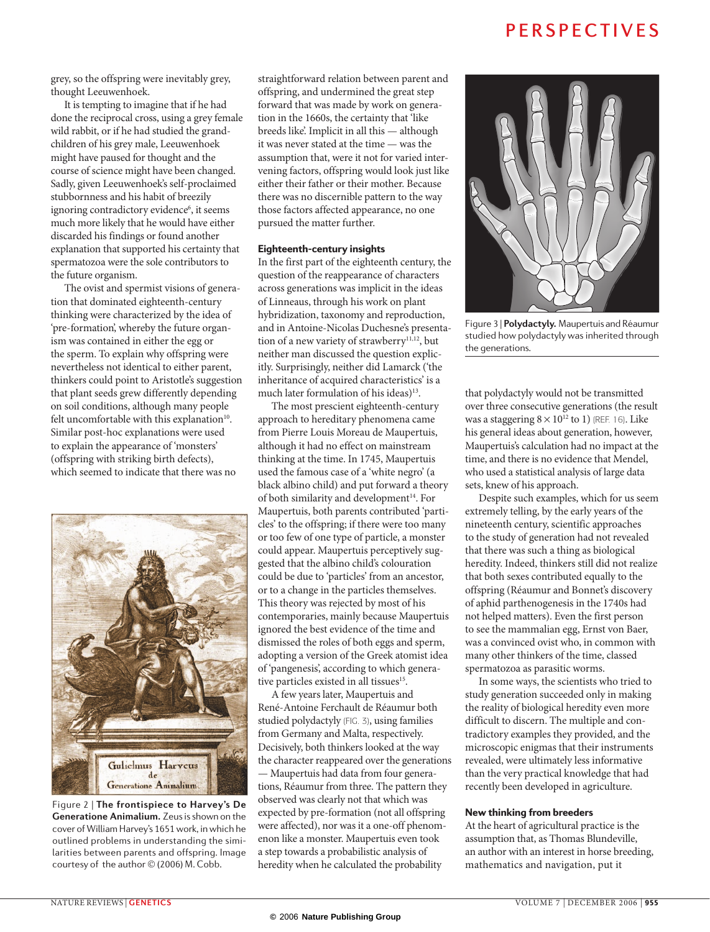grey, so the offspring were inevitably grey, thought Leeuwenhoek.

It is tempting to imagine that if he had done the reciprocal cross, using a grey female wild rabbit, or if he had studied the grandchildren of his grey male, Leeuwenhoek might have paused for thought and the course of science might have been changed. Sadly, given Leeuwenhoek's self-proclaimed stubbornness and his habit of breezily ignoring contradictory evidence<sup>6</sup>, it seems much more likely that he would have either discarded his findings or found another explanation that supported his certainty that spermatozoa were the sole contributors to the future organism.

The ovist and spermist visions of generation that dominated eighteenth-century thinking were characterized by the idea of 'pre-formation', whereby the future organism was contained in either the egg or the sperm. To explain why offspring were nevertheless not identical to either parent, thinkers could point to Aristotle's suggestion that plant seeds grew differently depending on soil conditions, although many people felt uncomfortable with this explanation<sup>10</sup>. Similar post-hoc explanations were used to explain the appearance of 'monsters' (offspring with striking birth defects), which seemed to indicate that there was no



Figure 2 | **The frontispiece to Harvey's De Generatione Animalium.** Zeus is shown on the cover of William Harvey's 1651 work, in which he outlined problems in understanding the similarities between parents and offspring. Image courtesy of the author © (2006) M. Cobb.

straightforward relation between parent and offspring, and undermined the great step forward that was made by work on generation in the 1660s, the certainty that 'like breeds like'. Implicit in all this — although it was never stated at the time — was the assumption that, were it not for varied intervening factors, offspring would look just like either their father or their mother. Because there was no discernible pattern to the way those factors affected appearance, no one pursued the matter further.

#### Eighteenth-century insights

In the first part of the eighteenth century, the question of the reappearance of characters across generations was implicit in the ideas of Linneaus, through his work on plant hybridization, taxonomy and reproduction, and in Antoine-Nicolas Duchesne's presentation of a new variety of strawberry<sup>11,12</sup>, but neither man discussed the question explicitly. Surprisingly, neither did Lamarck ('the inheritance of acquired characteristics' is a much later formulation of his ideas)<sup>13</sup>.

The most prescient eighteenth-century approach to hereditary phenomena came from Pierre Louis Moreau de Maupertuis, although it had no effect on mainstream thinking at the time. In 1745, Maupertuis used the famous case of a 'white negro' (a black albino child) and put forward a theory of both similarity and development<sup>14</sup>. For Maupertuis, both parents contributed 'particles' to the offspring; if there were too many or too few of one type of particle, a monster could appear. Maupertuis perceptively suggested that the albino child's colouration could be due to 'particles' from an ancestor, or to a change in the particles themselves. This theory was rejected by most of his contemporaries, mainly because Maupertuis ignored the best evidence of the time and dismissed the roles of both eggs and sperm, adopting a version of the Greek atomist idea of 'pangenesis', according to which generative particles existed in all tissues<sup>15</sup>.

A few years later, Maupertuis and René-Antoine Ferchault de Réaumur both studied polydactyly (FIG. 3), using families from Germany and Malta, respectively. Decisively, both thinkers looked at the way the character reappeared over the generations — Maupertuis had data from four generations, Réaumur from three. The pattern they observed was clearly not that which was expected by pre-formation (not all offspring were affected), nor was it a one-off phenomenon like a monster. Maupertuis even took a step towards a probabilistic analysis of heredity when he calculated the probability



Figure 3 | **Polydactyly.** Maupertuis and Réaumur studied how polydactyly was inherited through the generations.

that polydactyly would not be transmitted over three consecutive generations (the result was a staggering  $8 \times 10^{12}$  to 1) (REF. 16). Like his general ideas about generation, however, Maupertuis's calculation had no impact at the time, and there is no evidence that Mendel, who used a statistical analysis of large data sets, knew of his approach.

Despite such examples, which for us seem extremely telling, by the early years of the nineteenth century, scientific approaches to the study of generation had not revealed that there was such a thing as biological heredity. Indeed, thinkers still did not realize that both sexes contributed equally to the offspring (Réaumur and Bonnet's discovery of aphid parthenogenesis in the 1740s had not helped matters). Even the first person to see the mammalian egg, Ernst von Baer, was a convinced ovist who, in common with many other thinkers of the time, classed spermatozoa as parasitic worms.

In some ways, the scientists who tried to study generation succeeded only in making the reality of biological heredity even more difficult to discern. The multiple and contradictory examples they provided, and the microscopic enigmas that their instruments revealed, were ultimately less informative than the very practical knowledge that had recently been developed in agriculture.

#### New thinking from breeders

At the heart of agricultural practice is the assumption that, as Thomas Blundeville, an author with an interest in horse breeding, mathematics and navigation, put it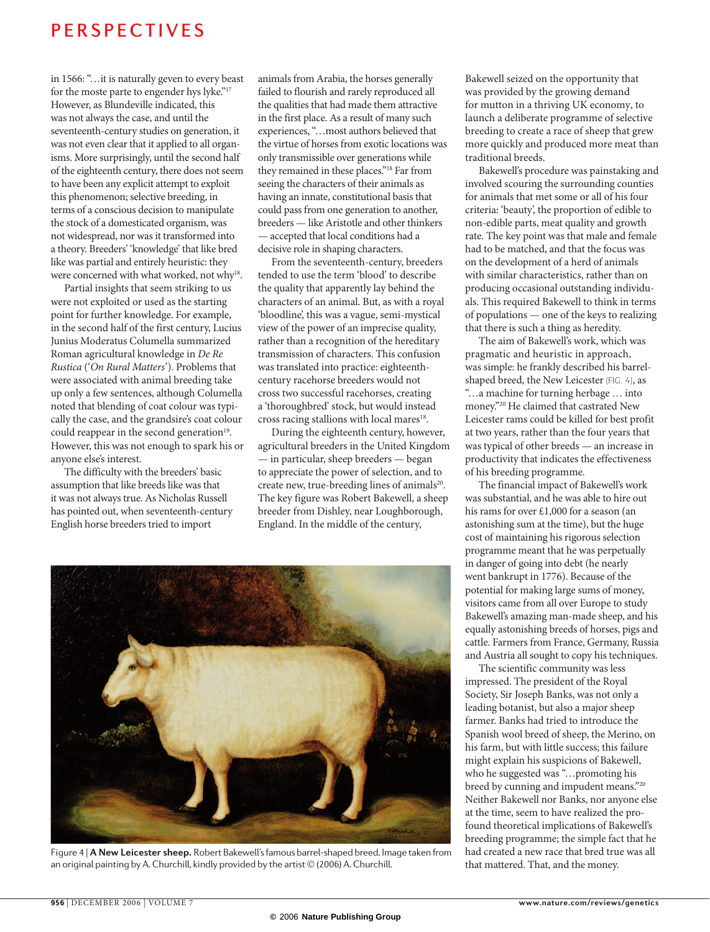in 1566: "…it is naturally geven to every beast for the moste parte to engender hys lyke."17 However, as Blundeville indicated, this was not always the case, and until the seventeenth-century studies on generation, it was not even clear that it applied to all organisms. More surprisingly, until the second half of the eighteenth century, there does not seem to have been any explicit attempt to exploit this phenomenon; selective breeding, in terms of a conscious decision to manipulate the stock of a domesticated organism, was not widespread, nor was it transformed into a theory. Breeders' 'knowledge' that like bred like was partial and entirely heuristic: they were concerned with what worked, not why<sup>18</sup>.

Partial insights that seem striking to us were not exploited or used as the starting point for further knowledge. For example, in the second half of the first century, Lucius Junius Moderatus Columella summarized Roman agricultural knowledge in *De Re Rustica* ('*On Rural Matters*'). Problems that were associated with animal breeding take up only a few sentences, although Columella noted that blending of coat colour was typically the case, and the grandsire's coat colour could reappear in the second generation<sup>19</sup>. However, this was not enough to spark his or anyone else's interest.

The difficulty with the breeders' basic assumption that like breeds like was that it was not always true. As Nicholas Russell has pointed out, when seventeenth-century English horse breeders tried to import

animals from Arabia, the horses generally failed to flourish and rarely reproduced all the qualities that had made them attractive in the first place. As a result of many such experiences, "…most authors believed that the virtue of horses from exotic locations was only transmissible over generations while they remained in these places."18 Far from seeing the characters of their animals as having an innate, constitutional basis that could pass from one generation to another, breeders — like Aristotle and other thinkers — accepted that local conditions had a decisive role in shaping characters.

From the seventeenth-century, breeders tended to use the term 'blood' to describe the quality that apparently lay behind the characters of an animal. But, as with a royal 'bloodline', this was a vague, semi-mystical view of the power of an imprecise quality, rather than a recognition of the hereditary transmission of characters. This confusion was translated into practice: eighteenthcentury racehorse breeders would not cross two successful racehorses, creating a 'thoroughbred' stock, but would instead cross racing stallions with local mares<sup>18</sup>.

During the eighteenth century, however, agricultural breeders in the United Kingdom — in particular, sheep breeders — began to appreciate the power of selection, and to create new, true-breeding lines of animals<sup>20</sup>. The key figure was Robert Bakewell, a sheep breeder from Dishley, near Loughborough, England. In the middle of the century,



Figure 4 | **A New Leicester sheep.** Robert Bakewell's famous barrel-shaped breed. Image taken from an original painting by A. Churchill, kindly provided by the artist © (2006) A. Churchill.

Bakewell seized on the opportunity that was provided by the growing demand for mutton in a thriving UK economy, to launch a deliberate programme of selective breeding to create a race of sheep that grew more quickly and produced more meat than traditional breeds.

Bakewell's procedure was painstaking and involved scouring the surrounding counties for animals that met some or all of his four criteria: 'beauty', the proportion of edible to non-edible parts, meat quality and growth rate. The key point was that male and female had to be matched, and that the focus was on the development of a herd of animals with similar characteristics, rather than on producing occasional outstanding individuals. This required Bakewell to think in terms of populations — one of the keys to realizing that there is such a thing as heredity.

The aim of Bakewell's work, which was pragmatic and heuristic in approach, was simple: he frankly described his barrelshaped breed, the New Leicester (FIG. 4), as "…a machine for turning herbage … into money."20 He claimed that castrated New Leicester rams could be killed for best profit at two years, rather than the four years that was typical of other breeds — an increase in productivity that indicates the effectiveness of his breeding programme.

The financial impact of Bakewell's work was substantial, and he was able to hire out his rams for over £1,000 for a season (an astonishing sum at the time), but the huge cost of maintaining his rigorous selection programme meant that he was perpetually in danger of going into debt (he nearly went bankrupt in 1776). Because of the potential for making large sums of money, visitors came from all over Europe to study Bakewell's amazing man-made sheep, and his equally astonishing breeds of horses, pigs and cattle. Farmers from France, Germany, Russia and Austria all sought to copy his techniques.

The scientific community was less impressed. The president of the Royal Society, Sir Joseph Banks, was not only a leading botanist, but also a major sheep farmer. Banks had tried to introduce the Spanish wool breed of sheep, the Merino, on his farm, but with little success; this failure might explain his suspicions of Bakewell, who he suggested was "…promoting his breed by cunning and impudent means."20 Neither Bakewell nor Banks, nor anyone else at the time, seem to have realized the profound theoretical implications of Bakewell's breeding programme; the simple fact that he had created a new race that bred true was all that mattered. That, and the money.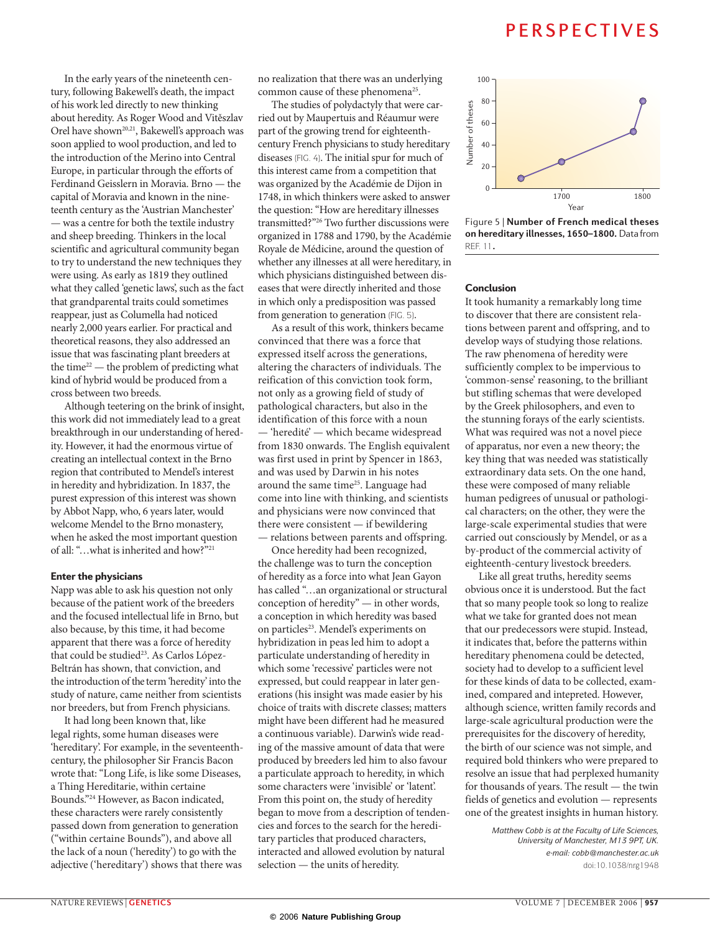tury, following Bakewell's death, the impact of his work led directly to new thinking about heredity. As Roger Wood and Vitěszlav Orel have shown<sup>20,21</sup>, Bakewell's approach was soon applied to wool production, and led to the introduction of the Merino into Central Europe, in particular through the efforts of Ferdinand Geisslern in Moravia. Brno — the capital of Moravia and known in the nineteenth century as the 'Austrian Manchester' — was a centre for both the textile industry and sheep breeding. Thinkers in the local scientific and agricultural community began to try to understand the new techniques they were using. As early as 1819 they outlined what they called 'genetic laws', such as the fact that grandparental traits could sometimes reappear, just as Columella had noticed nearly 2,000 years earlier. For practical and theoretical reasons, they also addressed an issue that was fascinating plant breeders at the time $22$  — the problem of predicting what kind of hybrid would be produced from a cross between two breeds.

Although teetering on the brink of insight, this work did not immediately lead to a great breakthrough in our understanding of heredity. However, it had the enormous virtue of creating an intellectual context in the Brno region that contributed to Mendel's interest in heredity and hybridization. In 1837, the purest expression of this interest was shown by Abbot Napp, who, 6 years later, would welcome Mendel to the Brno monastery, when he asked the most important question of all: "…what is inherited and how?"21

#### Enter the physicians

Napp was able to ask his question not only because of the patient work of the breeders and the focused intellectual life in Brno, but also because, by this time, it had become apparent that there was a force of heredity that could be studied<sup>23</sup>. As Carlos López-Beltrán has shown, that conviction, and the introduction of the term 'heredity' into the study of nature, came neither from scientists nor breeders, but from French physicians.

It had long been known that, like legal rights, some human diseases were 'hereditary'. For example, in the seventeenthcentury, the philosopher Sir Francis Bacon wrote that: "Long Life, is like some Diseases, a Thing Hereditarie, within certaine Bounds."24 However, as Bacon indicated, these characters were rarely consistently passed down from generation to generation ("within certaine Bounds"), and above all the lack of a noun ('heredity') to go with the adjective ('hereditary') shows that there was

In the early years of the nineteenth cen- 100 realization that there was an underlying 100 no realization that there was an underlying common cause of these phenomena<sup>25</sup>.

> The studies of polydactyly that were carried out by Maupertuis and Réaumur were part of the growing trend for eighteenthcentury French physicians to study hereditary diseases (FIG. 4). The initial spur for much of this interest came from a competition that was organized by the Académie de Dijon in 1748, in which thinkers were asked to answer the question: "How are hereditary illnesses transmitted?"26 Two further discussions were organized in 1788 and 1790, by the Académie Royale de Médicine, around the question of whether any illnesses at all were hereditary, in which physicians distinguished between diseases that were directly inherited and those in which only a predisposition was passed from generation to generation (FIG. 5).

> As a result of this work, thinkers became convinced that there was a force that expressed itself across the generations, altering the characters of individuals. The reification of this conviction took form, not only as a growing field of study of pathological characters, but also in the identification of this force with a noun — 'heredité' — which became widespread from 1830 onwards. The English equivalent was first used in print by Spencer in 1863, and was used by Darwin in his notes around the same time<sup>25</sup>. Language had come into line with thinking, and scientists and physicians were now convinced that there were consistent — if bewildering — relations between parents and offspring.

> Once heredity had been recognized, the challenge was to turn the conception of heredity as a force into what Jean Gayon has called "…an organizational or structural conception of heredity" — in other words, a conception in which heredity was based on particles<sup>23</sup>. Mendel's experiments on hybridization in peas led him to adopt a particulate understanding of heredity in which some 'recessive' particles were not expressed, but could reappear in later generations (his insight was made easier by his choice of traits with discrete classes; matters might have been different had he measured a continuous variable). Darwin's wide reading of the massive amount of data that were produced by breeders led him to also favour a particulate approach to heredity, in which some characters were 'invisible' or 'latent'. From this point on, the study of heredity began to move from a description of tendencies and forces to the search for the hereditary particles that produced characters, interacted and allowed evolution by natural selection — the units of heredity.



Figure 5 | **Number of French medical theses on hereditary illnesses, 1650–1800.** Data from REF. 11.

#### Conclusion

It took humanity a remarkably long time to discover that there are consistent relations between parent and offspring, and to develop ways of studying those relations. The raw phenomena of heredity were sufficiently complex to be impervious to 'common-sense' reasoning, to the brilliant but stifling schemas that were developed by the Greek philosophers, and even to the stunning forays of the early scientists. What was required was not a novel piece of apparatus, nor even a new theory; the key thing that was needed was statistically extraordinary data sets. On the one hand, these were composed of many reliable human pedigrees of unusual or pathological characters; on the other, they were the large-scale experimental studies that were carried out consciously by Mendel, or as a by-product of the commercial activity of eighteenth-century livestock breeders.

Like all great truths, heredity seems obvious once it is understood. But the fact that so many people took so long to realize what we take for granted does not mean that our predecessors were stupid. Instead, it indicates that, before the patterns within hereditary phenomena could be detected, society had to develop to a sufficient level for these kinds of data to be collected, examined, compared and intepreted. However, although science, written family records and large-scale agricultural production were the prerequisites for the discovery of heredity, the birth of our science was not simple, and required bold thinkers who were prepared to resolve an issue that had perplexed humanity for thousands of years. The result — the twin fields of genetics and evolution — represents one of the greatest insights in human history.

> *Matthew Cobb is at the Faculty of Life Sciences, University of Manchester, M13 9PT, UK. e-mail: cobb@manchester.ac.uk* doi:10.1038/nrg1948